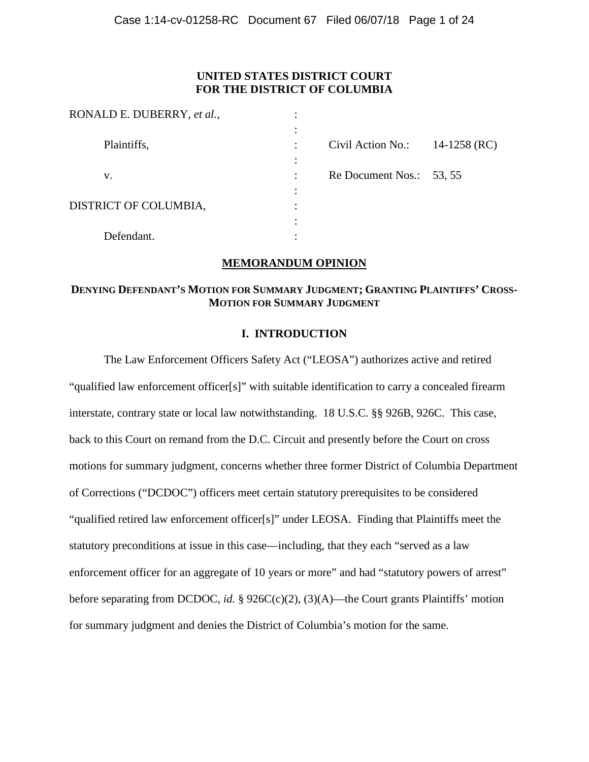# **UNITED STATES DISTRICT COURT FOR THE DISTRICT OF COLUMBIA**

| RONALD E. DUBERRY, et al., | ٠ |                          |              |
|----------------------------|---|--------------------------|--------------|
| Plaintiffs,                |   | Civil Action No.:        | 14-1258 (RC) |
| v.                         |   | Re Document Nos.: 53, 55 |              |
| DISTRICT OF COLUMBIA,      |   |                          |              |
| Defendant.                 |   |                          |              |

## **MEMORANDUM OPINION**

### **DENYING DEFENDANT'S MOTION FOR SUMMARY JUDGMENT; GRANTING PLAINTIFFS' CROSS-MOTION FOR SUMMARY JUDGMENT**

## **I. INTRODUCTION**

The Law Enforcement Officers Safety Act ("LEOSA") authorizes active and retired "qualified law enforcement officer[s]" with suitable identification to carry a concealed firearm interstate, contrary state or local law notwithstanding. 18 U.S.C. §§ 926B, 926C. This case, back to this Court on remand from the D.C. Circuit and presently before the Court on cross motions for summary judgment, concerns whether three former District of Columbia Department of Corrections ("DCDOC") officers meet certain statutory prerequisites to be considered "qualified retired law enforcement officer[s]" under LEOSA. Finding that Plaintiffs meet the statutory preconditions at issue in this case—including, that they each "served as a law enforcement officer for an aggregate of 10 years or more" and had "statutory powers of arrest" before separating from DCDOC, *id.* § 926C(c)(2), (3)(A)—the Court grants Plaintiffs' motion for summary judgment and denies the District of Columbia's motion for the same.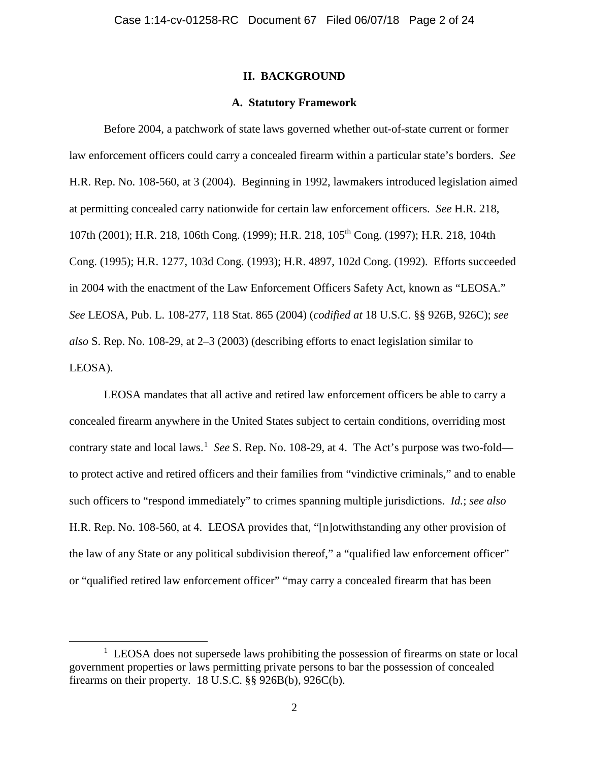### **II. BACKGROUND**

#### **A. Statutory Framework**

Before 2004, a patchwork of state laws governed whether out-of-state current or former law enforcement officers could carry a concealed firearm within a particular state's borders. *See* H.R. Rep. No. 108-560, at 3 (2004). Beginning in 1992, lawmakers introduced legislation aimed at permitting concealed carry nationwide for certain law enforcement officers. *See* H.R. 218, 107th (2001); H.R. 218, 106th Cong. (1999); H.R. 218, 105th Cong. (1997); H.R. 218, 104th Cong. (1995); H.R. 1277, 103d Cong. (1993); H.R. 4897, 102d Cong. (1992). Efforts succeeded in 2004 with the enactment of the Law Enforcement Officers Safety Act, known as "LEOSA." *See* LEOSA, Pub. L. 108-277, 118 Stat. 865 (2004) (*codified at* 18 U.S.C. §§ 926B, 926C); *see also* S. Rep. No. 108-29, at 2–3 (2003) (describing efforts to enact legislation similar to LEOSA).

LEOSA mandates that all active and retired law enforcement officers be able to carry a concealed firearm anywhere in the United States subject to certain conditions, overriding most contrary state and local laws.<sup>1</sup> See S. Rep. No. 108-29, at 4. The Act's purpose was two-fold to protect active and retired officers and their families from "vindictive criminals," and to enable such officers to "respond immediately" to crimes spanning multiple jurisdictions. *Id.*; *see also*  H.R. Rep. No. 108-560, at 4. LEOSA provides that, "[n]otwithstanding any other provision of the law of any State or any political subdivision thereof," a "qualified law enforcement officer" or "qualified retired law enforcement officer" "may carry a concealed firearm that has been

<sup>1&</sup>lt;sup>1</sup>  $\frac{1}{1}$  LEOSA does not supersede laws prohibiting the possession of firearms on state or local government properties or laws permitting private persons to bar the possession of concealed firearms on their property. 18 U.S.C. §§ 926B(b), 926C(b).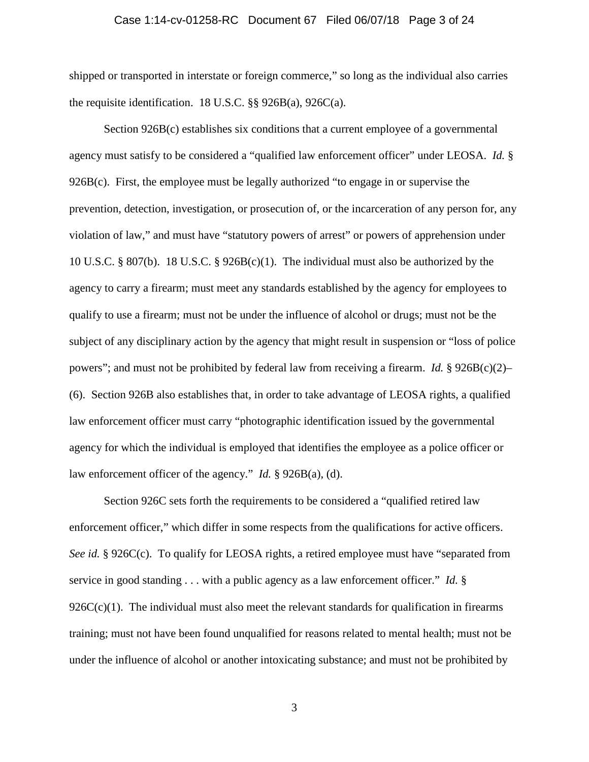#### Case 1:14-cv-01258-RC Document 67 Filed 06/07/18 Page 3 of 24

shipped or transported in interstate or foreign commerce," so long as the individual also carries the requisite identification. 18 U.S.C. §§ 926B(a), 926C(a).

Section 926B(c) establishes six conditions that a current employee of a governmental agency must satisfy to be considered a "qualified law enforcement officer" under LEOSA. *Id.* § 926B(c). First, the employee must be legally authorized "to engage in or supervise the prevention, detection, investigation, or prosecution of, or the incarceration of any person for, any violation of law," and must have "statutory powers of arrest" or powers of apprehension under 10 U.S.C. § 807(b). 18 U.S.C. § 926B(c)(1). The individual must also be authorized by the agency to carry a firearm; must meet any standards established by the agency for employees to qualify to use a firearm; must not be under the influence of alcohol or drugs; must not be the subject of any disciplinary action by the agency that might result in suspension or "loss of police powers"; and must not be prohibited by federal law from receiving a firearm. *Id.* § 926B(c)(2)– (6). Section 926B also establishes that, in order to take advantage of LEOSA rights, a qualified law enforcement officer must carry "photographic identification issued by the governmental agency for which the individual is employed that identifies the employee as a police officer or law enforcement officer of the agency." *Id.* § 926B(a), (d).

Section 926C sets forth the requirements to be considered a "qualified retired law enforcement officer," which differ in some respects from the qualifications for active officers. *See id.* § 926C(c). To qualify for LEOSA rights, a retired employee must have "separated from service in good standing . . . with a public agency as a law enforcement officer." *Id.* §  $926C(c)(1)$ . The individual must also meet the relevant standards for qualification in firearms training; must not have been found unqualified for reasons related to mental health; must not be under the influence of alcohol or another intoxicating substance; and must not be prohibited by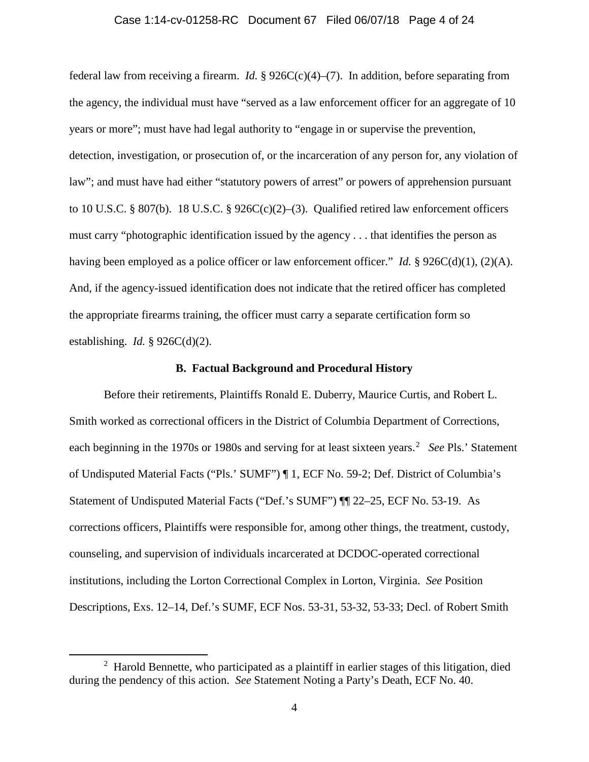#### Case 1:14-cv-01258-RC Document 67 Filed 06/07/18 Page 4 of 24

federal law from receiving a firearm. *Id.* §  $926C(c)(4)$ –(7). In addition, before separating from the agency, the individual must have "served as a law enforcement officer for an aggregate of 10 years or more"; must have had legal authority to "engage in or supervise the prevention, detection, investigation, or prosecution of, or the incarceration of any person for, any violation of law"; and must have had either "statutory powers of arrest" or powers of apprehension pursuant to 10 U.S.C. § 807(b). 18 U.S.C. § 926C(c)(2)–(3). Qualified retired law enforcement officers must carry "photographic identification issued by the agency . . . that identifies the person as having been employed as a police officer or law enforcement officer." *Id.* §  $926C(d)(1)$ ,  $(2)(A)$ . And, if the agency-issued identification does not indicate that the retired officer has completed the appropriate firearms training, the officer must carry a separate certification form so establishing. *Id.* § 926C(d)(2).

#### **B. Factual Background and Procedural History**

Before their retirements, Plaintiffs Ronald E. Duberry, Maurice Curtis, and Robert L. Smith worked as correctional officers in the District of Columbia Department of Corrections, each beginning in the 1970s or 1980s and serving for at least sixteen years. 2 *See* Pls.' Statement of Undisputed Material Facts ("Pls.' SUMF") ¶ 1, ECF No. 59-2; Def. District of Columbia's Statement of Undisputed Material Facts ("Def.'s SUMF") ¶¶ 22–25, ECF No. 53-19. As corrections officers, Plaintiffs were responsible for, among other things, the treatment, custody, counseling, and supervision of individuals incarcerated at DCDOC-operated correctional institutions, including the Lorton Correctional Complex in Lorton, Virginia. *See* Position Descriptions, Exs. 12–14, Def.'s SUMF, ECF Nos. 53-31, 53-32, 53-33; Decl. of Robert Smith

 <sup>2</sup> <sup>2</sup> Harold Bennette, who participated as a plaintiff in earlier stages of this litigation, died during the pendency of this action. *See* Statement Noting a Party's Death, ECF No. 40.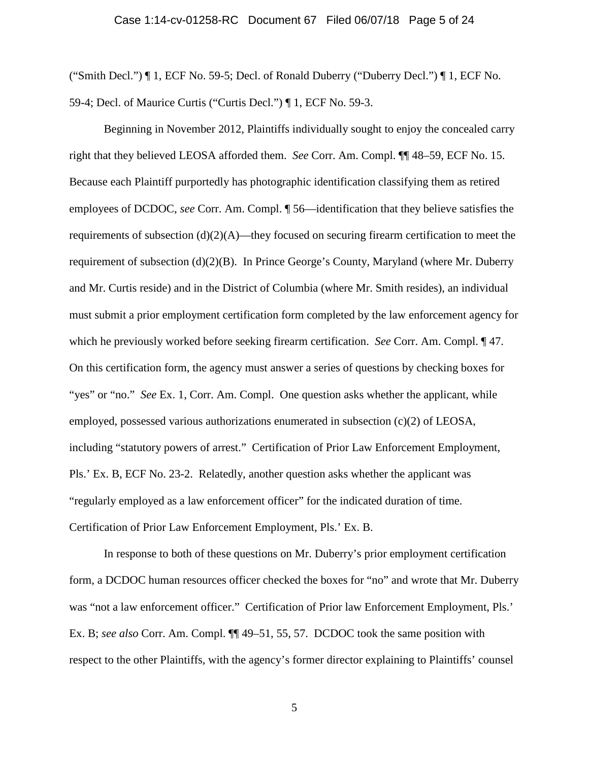#### Case 1:14-cv-01258-RC Document 67 Filed 06/07/18 Page 5 of 24

("Smith Decl.") ¶ 1, ECF No. 59-5; Decl. of Ronald Duberry ("Duberry Decl.") ¶ 1, ECF No. 59-4; Decl. of Maurice Curtis ("Curtis Decl.") ¶ 1, ECF No. 59-3.

Beginning in November 2012, Plaintiffs individually sought to enjoy the concealed carry right that they believed LEOSA afforded them. *See* Corr. Am. Compl. ¶¶ 48–59, ECF No. 15. Because each Plaintiff purportedly has photographic identification classifying them as retired employees of DCDOC, *see* Corr. Am. Compl. ¶ 56—identification that they believe satisfies the requirements of subsection (d)(2)(A)—they focused on securing firearm certification to meet the requirement of subsection  $(d)(2)(B)$ . In Prince George's County, Maryland (where Mr. Duberry and Mr. Curtis reside) and in the District of Columbia (where Mr. Smith resides), an individual must submit a prior employment certification form completed by the law enforcement agency for which he previously worked before seeking firearm certification. *See* Corr. Am. Compl. ¶ 47. On this certification form, the agency must answer a series of questions by checking boxes for "yes" or "no." *See* Ex. 1, Corr. Am. Compl. One question asks whether the applicant, while employed, possessed various authorizations enumerated in subsection  $(c)(2)$  of LEOSA, including "statutory powers of arrest." Certification of Prior Law Enforcement Employment, Pls.' Ex. B, ECF No. 23-2. Relatedly, another question asks whether the applicant was "regularly employed as a law enforcement officer" for the indicated duration of time. Certification of Prior Law Enforcement Employment, Pls.' Ex. B.

In response to both of these questions on Mr. Duberry's prior employment certification form, a DCDOC human resources officer checked the boxes for "no" and wrote that Mr. Duberry was "not a law enforcement officer." Certification of Prior law Enforcement Employment, Pls.' Ex. B; *see also* Corr. Am. Compl. ¶¶ 49–51, 55, 57. DCDOC took the same position with respect to the other Plaintiffs, with the agency's former director explaining to Plaintiffs' counsel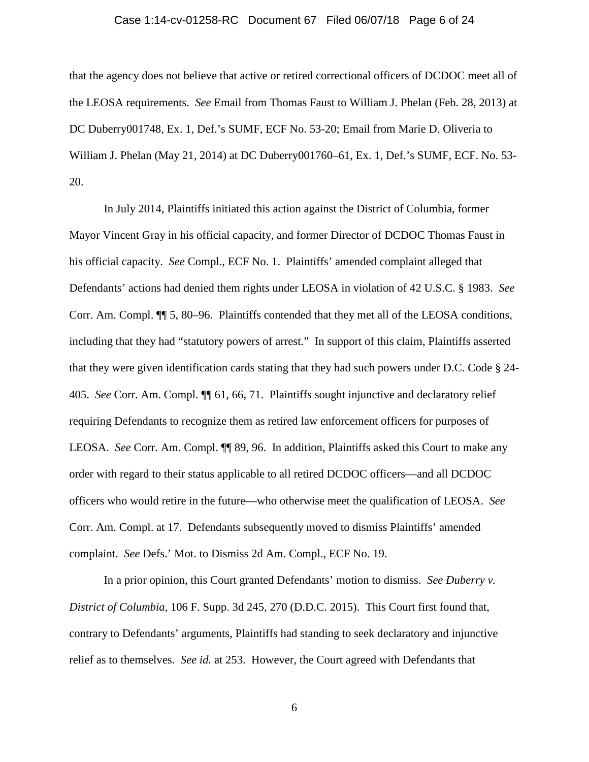#### Case 1:14-cv-01258-RC Document 67 Filed 06/07/18 Page 6 of 24

that the agency does not believe that active or retired correctional officers of DCDOC meet all of the LEOSA requirements. *See* Email from Thomas Faust to William J. Phelan (Feb. 28, 2013) at DC Duberry001748, Ex. 1, Def.'s SUMF, ECF No. 53-20; Email from Marie D. Oliveria to William J. Phelan (May 21, 2014) at DC Duberry001760–61, Ex. 1, Def.'s SUMF, ECF. No. 53- 20.

In July 2014, Plaintiffs initiated this action against the District of Columbia, former Mayor Vincent Gray in his official capacity, and former Director of DCDOC Thomas Faust in his official capacity. *See* Compl., ECF No. 1. Plaintiffs' amended complaint alleged that Defendants' actions had denied them rights under LEOSA in violation of 42 U.S.C. § 1983. *See* Corr. Am. Compl. ¶¶ 5, 80–96. Plaintiffs contended that they met all of the LEOSA conditions, including that they had "statutory powers of arrest." In support of this claim, Plaintiffs asserted that they were given identification cards stating that they had such powers under D.C. Code § 24- 405. *See* Corr. Am. Compl. ¶¶ 61, 66, 71. Plaintiffs sought injunctive and declaratory relief requiring Defendants to recognize them as retired law enforcement officers for purposes of LEOSA. *See* Corr. Am. Compl. **[1]** 89, 96. In addition, Plaintiffs asked this Court to make any order with regard to their status applicable to all retired DCDOC officers—and all DCDOC officers who would retire in the future—who otherwise meet the qualification of LEOSA. *See* Corr. Am. Compl. at 17. Defendants subsequently moved to dismiss Plaintiffs' amended complaint. *See* Defs.' Mot. to Dismiss 2d Am. Compl., ECF No. 19.

In a prior opinion, this Court granted Defendants' motion to dismiss. *See Duberry v. District of Columbia*, 106 F. Supp. 3d 245, 270 (D.D.C. 2015). This Court first found that, contrary to Defendants' arguments, Plaintiffs had standing to seek declaratory and injunctive relief as to themselves. *See id.* at 253. However, the Court agreed with Defendants that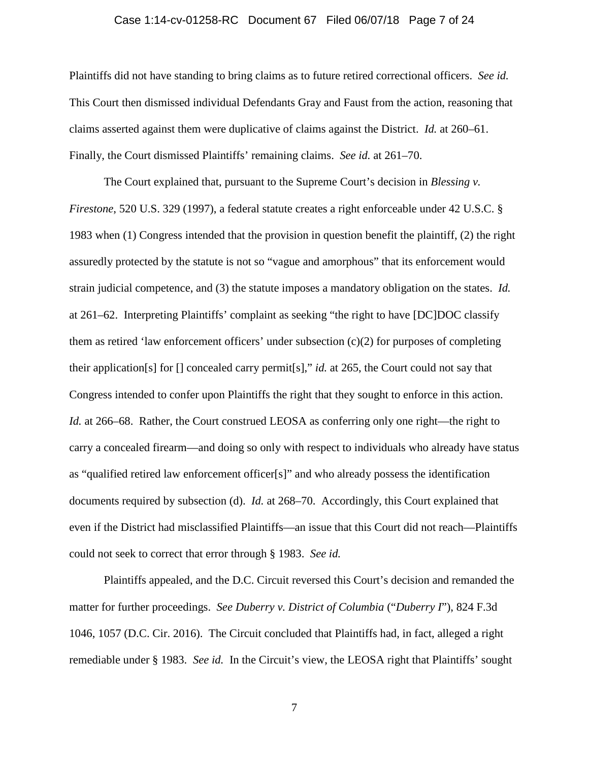#### Case 1:14-cv-01258-RC Document 67 Filed 06/07/18 Page 7 of 24

Plaintiffs did not have standing to bring claims as to future retired correctional officers. *See id.* This Court then dismissed individual Defendants Gray and Faust from the action, reasoning that claims asserted against them were duplicative of claims against the District. *Id.* at 260–61. Finally, the Court dismissed Plaintiffs' remaining claims. *See id.* at 261–70.

The Court explained that, pursuant to the Supreme Court's decision in *Blessing v. Firestone*, 520 U.S. 329 (1997), a federal statute creates a right enforceable under 42 U.S.C. § 1983 when (1) Congress intended that the provision in question benefit the plaintiff, (2) the right assuredly protected by the statute is not so "vague and amorphous" that its enforcement would strain judicial competence, and (3) the statute imposes a mandatory obligation on the states. *Id.* at 261–62. Interpreting Plaintiffs' complaint as seeking "the right to have [DC]DOC classify them as retired 'law enforcement officers' under subsection (c)(2) for purposes of completing their application[s] for [] concealed carry permit[s]," *id.* at 265, the Court could not say that Congress intended to confer upon Plaintiffs the right that they sought to enforce in this action. *Id.* at 266–68. Rather, the Court construed LEOSA as conferring only one right—the right to carry a concealed firearm—and doing so only with respect to individuals who already have status as "qualified retired law enforcement officer[s]" and who already possess the identification documents required by subsection (d). *Id.* at 268–70. Accordingly, this Court explained that even if the District had misclassified Plaintiffs—an issue that this Court did not reach—Plaintiffs could not seek to correct that error through § 1983. *See id.*

Plaintiffs appealed, and the D.C. Circuit reversed this Court's decision and remanded the matter for further proceedings. *See Duberry v. District of Columbia* ("*Duberry I*"), 824 F.3d 1046, 1057 (D.C. Cir. 2016). The Circuit concluded that Plaintiffs had, in fact, alleged a right remediable under § 1983. *See id.* In the Circuit's view, the LEOSA right that Plaintiffs' sought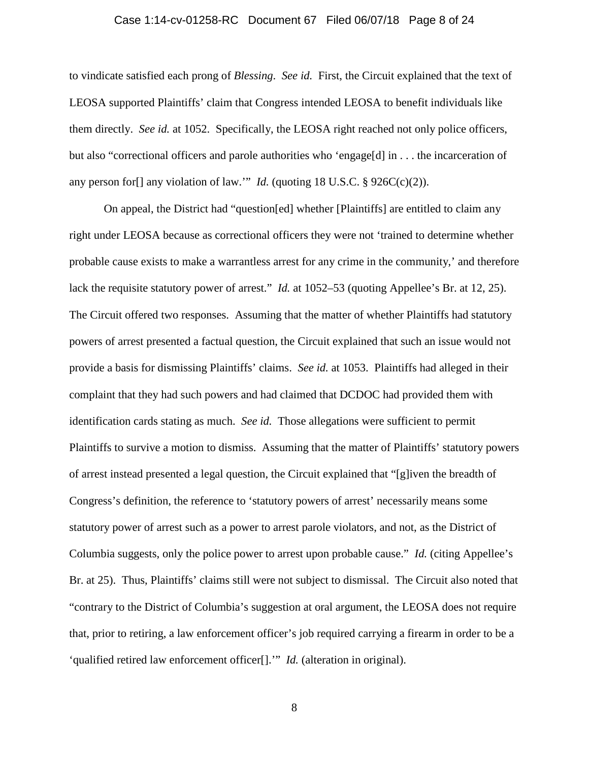#### Case 1:14-cv-01258-RC Document 67 Filed 06/07/18 Page 8 of 24

to vindicate satisfied each prong of *Blessing*. *See id.* First, the Circuit explained that the text of LEOSA supported Plaintiffs' claim that Congress intended LEOSA to benefit individuals like them directly. *See id.* at 1052. Specifically, the LEOSA right reached not only police officers, but also "correctional officers and parole authorities who 'engage[d] in . . . the incarceration of any person for<sup>[]</sup> any violation of law."" *Id.* (quoting 18 U.S.C.  $\S$  926C(c)(2)).

On appeal, the District had "question[ed] whether [Plaintiffs] are entitled to claim any right under LEOSA because as correctional officers they were not 'trained to determine whether probable cause exists to make a warrantless arrest for any crime in the community,' and therefore lack the requisite statutory power of arrest." *Id.* at 1052–53 (quoting Appellee's Br. at 12, 25). The Circuit offered two responses. Assuming that the matter of whether Plaintiffs had statutory powers of arrest presented a factual question, the Circuit explained that such an issue would not provide a basis for dismissing Plaintiffs' claims. *See id.* at 1053. Plaintiffs had alleged in their complaint that they had such powers and had claimed that DCDOC had provided them with identification cards stating as much. *See id.* Those allegations were sufficient to permit Plaintiffs to survive a motion to dismiss. Assuming that the matter of Plaintiffs' statutory powers of arrest instead presented a legal question, the Circuit explained that "[g]iven the breadth of Congress's definition, the reference to 'statutory powers of arrest' necessarily means some statutory power of arrest such as a power to arrest parole violators, and not, as the District of Columbia suggests, only the police power to arrest upon probable cause." *Id.* (citing Appellee's Br. at 25). Thus, Plaintiffs' claims still were not subject to dismissal. The Circuit also noted that "contrary to the District of Columbia's suggestion at oral argument, the LEOSA does not require that, prior to retiring, a law enforcement officer's job required carrying a firearm in order to be a 'qualified retired law enforcement officer[].'" *Id.* (alteration in original).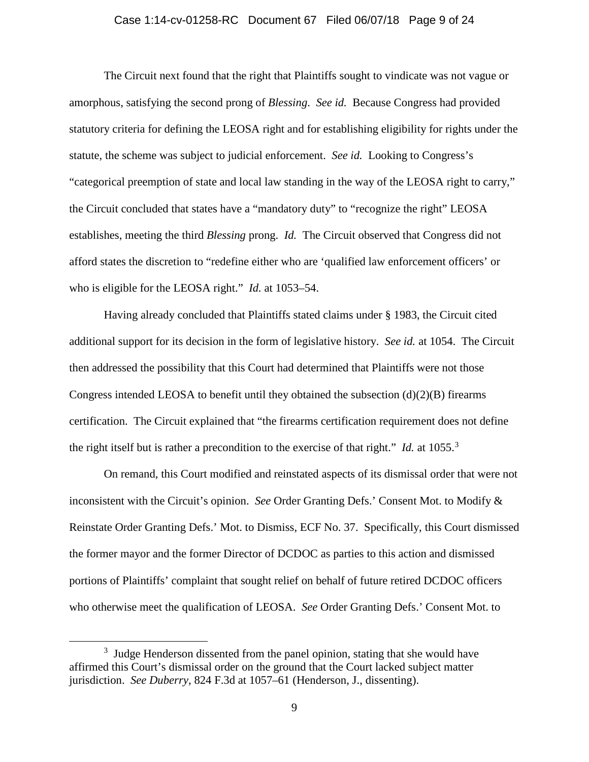#### Case 1:14-cv-01258-RC Document 67 Filed 06/07/18 Page 9 of 24

The Circuit next found that the right that Plaintiffs sought to vindicate was not vague or amorphous, satisfying the second prong of *Blessing*. *See id.* Because Congress had provided statutory criteria for defining the LEOSA right and for establishing eligibility for rights under the statute, the scheme was subject to judicial enforcement. *See id.* Looking to Congress's "categorical preemption of state and local law standing in the way of the LEOSA right to carry," the Circuit concluded that states have a "mandatory duty" to "recognize the right" LEOSA establishes, meeting the third *Blessing* prong. *Id.* The Circuit observed that Congress did not afford states the discretion to "redefine either who are 'qualified law enforcement officers' or who is eligible for the LEOSA right." *Id.* at 1053–54.

Having already concluded that Plaintiffs stated claims under § 1983, the Circuit cited additional support for its decision in the form of legislative history. *See id.* at 1054. The Circuit then addressed the possibility that this Court had determined that Plaintiffs were not those Congress intended LEOSA to benefit until they obtained the subsection  $(d)(2)(B)$  firearms certification. The Circuit explained that "the firearms certification requirement does not define the right itself but is rather a precondition to the exercise of that right." *Id.* at 1055.<sup>3</sup>

On remand, this Court modified and reinstated aspects of its dismissal order that were not inconsistent with the Circuit's opinion. *See* Order Granting Defs.' Consent Mot. to Modify & Reinstate Order Granting Defs.' Mot. to Dismiss, ECF No. 37. Specifically, this Court dismissed the former mayor and the former Director of DCDOC as parties to this action and dismissed portions of Plaintiffs' complaint that sought relief on behalf of future retired DCDOC officers who otherwise meet the qualification of LEOSA. *See* Order Granting Defs.' Consent Mot. to

 $\frac{3}{3}$  $3$  Judge Henderson dissented from the panel opinion, stating that she would have affirmed this Court's dismissal order on the ground that the Court lacked subject matter jurisdiction. *See Duberry*, 824 F.3d at 1057–61 (Henderson, J., dissenting).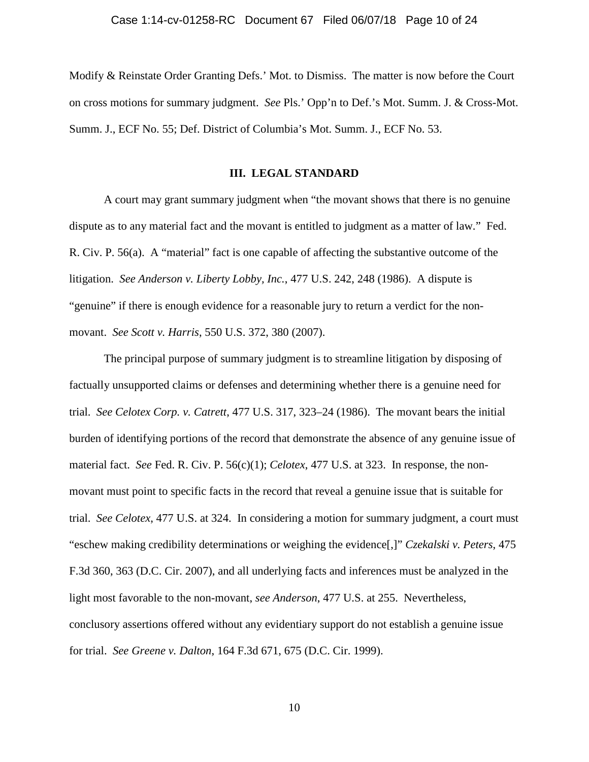Modify & Reinstate Order Granting Defs.' Mot. to Dismiss. The matter is now before the Court on cross motions for summary judgment. *See* Pls.' Opp'n to Def.'s Mot. Summ. J. & Cross-Mot. Summ. J., ECF No. 55; Def. District of Columbia's Mot. Summ. J., ECF No. 53.

#### **III. LEGAL STANDARD**

A court may grant summary judgment when "the movant shows that there is no genuine dispute as to any material fact and the movant is entitled to judgment as a matter of law." Fed. R. Civ. P. 56(a). A "material" fact is one capable of affecting the substantive outcome of the litigation. *See Anderson v. Liberty Lobby, Inc.*, 477 U.S. 242, 248 (1986). A dispute is "genuine" if there is enough evidence for a reasonable jury to return a verdict for the nonmovant. *See Scott v. Harris*, 550 U.S. 372, 380 (2007).

The principal purpose of summary judgment is to streamline litigation by disposing of factually unsupported claims or defenses and determining whether there is a genuine need for trial. *See Celotex Corp. v. Catrett*, 477 U.S. 317, 323–24 (1986). The movant bears the initial burden of identifying portions of the record that demonstrate the absence of any genuine issue of material fact. *See* Fed. R. Civ. P. 56(c)(1); *Celotex*, 477 U.S. at 323. In response, the nonmovant must point to specific facts in the record that reveal a genuine issue that is suitable for trial. *See Celotex*, 477 U.S. at 324. In considering a motion for summary judgment, a court must "eschew making credibility determinations or weighing the evidence[,]" *Czekalski v. Peters*, 475 F.3d 360, 363 (D.C. Cir. 2007), and all underlying facts and inferences must be analyzed in the light most favorable to the non-movant, *see Anderson*, 477 U.S. at 255. Nevertheless, conclusory assertions offered without any evidentiary support do not establish a genuine issue for trial. *See Greene v. Dalton*, 164 F.3d 671, 675 (D.C. Cir. 1999).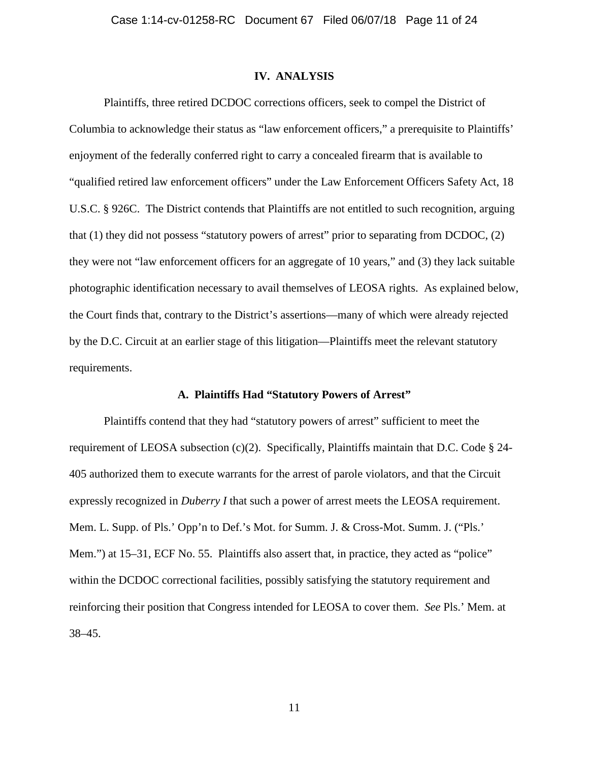#### **IV. ANALYSIS**

Plaintiffs, three retired DCDOC corrections officers, seek to compel the District of Columbia to acknowledge their status as "law enforcement officers," a prerequisite to Plaintiffs' enjoyment of the federally conferred right to carry a concealed firearm that is available to "qualified retired law enforcement officers" under the Law Enforcement Officers Safety Act, 18 U.S.C. § 926C. The District contends that Plaintiffs are not entitled to such recognition, arguing that (1) they did not possess "statutory powers of arrest" prior to separating from DCDOC, (2) they were not "law enforcement officers for an aggregate of 10 years," and (3) they lack suitable photographic identification necessary to avail themselves of LEOSA rights. As explained below, the Court finds that, contrary to the District's assertions—many of which were already rejected by the D.C. Circuit at an earlier stage of this litigation—Plaintiffs meet the relevant statutory requirements.

#### **A. Plaintiffs Had "Statutory Powers of Arrest"**

Plaintiffs contend that they had "statutory powers of arrest" sufficient to meet the requirement of LEOSA subsection (c)(2). Specifically, Plaintiffs maintain that D.C. Code § 24- 405 authorized them to execute warrants for the arrest of parole violators, and that the Circuit expressly recognized in *Duberry I* that such a power of arrest meets the LEOSA requirement. Mem. L. Supp. of Pls.' Opp'n to Def.'s Mot. for Summ. J. & Cross-Mot. Summ. J. ("Pls.' Mem.") at 15–31, ECF No. 55. Plaintiffs also assert that, in practice, they acted as "police" within the DCDOC correctional facilities, possibly satisfying the statutory requirement and reinforcing their position that Congress intended for LEOSA to cover them. *See* Pls.' Mem. at 38–45.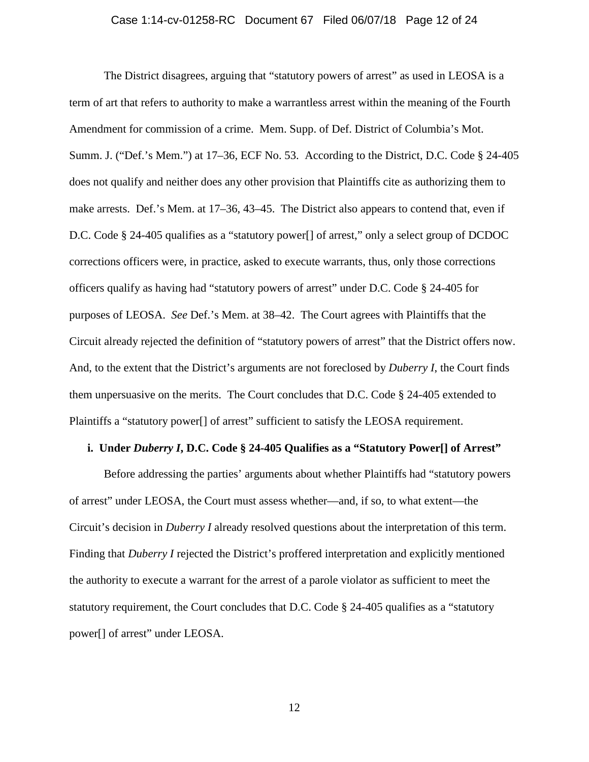#### Case 1:14-cv-01258-RC Document 67 Filed 06/07/18 Page 12 of 24

The District disagrees, arguing that "statutory powers of arrest" as used in LEOSA is a term of art that refers to authority to make a warrantless arrest within the meaning of the Fourth Amendment for commission of a crime. Mem. Supp. of Def. District of Columbia's Mot. Summ. J. ("Def.'s Mem.") at 17–36, ECF No. 53. According to the District, D.C. Code § 24-405 does not qualify and neither does any other provision that Plaintiffs cite as authorizing them to make arrests. Def.'s Mem. at 17–36, 43–45. The District also appears to contend that, even if D.C. Code § 24-405 qualifies as a "statutory power[] of arrest," only a select group of DCDOC corrections officers were, in practice, asked to execute warrants, thus, only those corrections officers qualify as having had "statutory powers of arrest" under D.C. Code § 24-405 for purposes of LEOSA. *See* Def.'s Mem. at 38–42. The Court agrees with Plaintiffs that the Circuit already rejected the definition of "statutory powers of arrest" that the District offers now. And, to the extent that the District's arguments are not foreclosed by *Duberry I*, the Court finds them unpersuasive on the merits. The Court concludes that D.C. Code § 24-405 extended to Plaintiffs a "statutory power[] of arrest" sufficient to satisfy the LEOSA requirement.

#### **i. Under** *Duberry I***, D.C. Code § 24-405 Qualifies as a "Statutory Power[] of Arrest"**

Before addressing the parties' arguments about whether Plaintiffs had "statutory powers of arrest" under LEOSA, the Court must assess whether—and, if so, to what extent—the Circuit's decision in *Duberry I* already resolved questions about the interpretation of this term. Finding that *Duberry I* rejected the District's proffered interpretation and explicitly mentioned the authority to execute a warrant for the arrest of a parole violator as sufficient to meet the statutory requirement, the Court concludes that D.C. Code § 24-405 qualifies as a "statutory power[] of arrest" under LEOSA.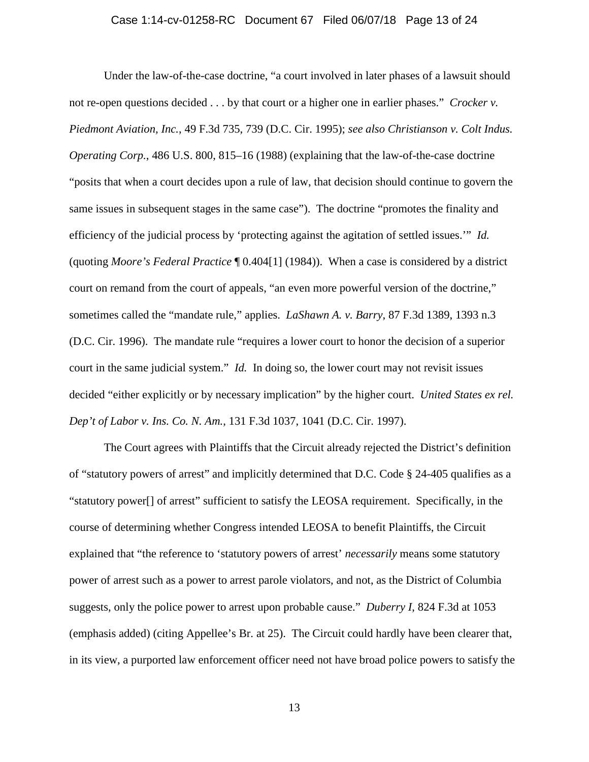#### Case 1:14-cv-01258-RC Document 67 Filed 06/07/18 Page 13 of 24

Under the law-of-the-case doctrine, "a court involved in later phases of a lawsuit should not re-open questions decided . . . by that court or a higher one in earlier phases." *Crocker v. Piedmont Aviation, Inc.*, 49 F.3d 735, 739 (D.C. Cir. 1995); *see also Christianson v. Colt Indus. Operating Corp.*, 486 U.S. 800, 815–16 (1988) (explaining that the law-of-the-case doctrine "posits that when a court decides upon a rule of law, that decision should continue to govern the same issues in subsequent stages in the same case"). The doctrine "promotes the finality and efficiency of the judicial process by 'protecting against the agitation of settled issues.'" *Id.* (quoting *Moore's Federal Practice* ¶ 0.404[1] (1984)). When a case is considered by a district court on remand from the court of appeals, "an even more powerful version of the doctrine," sometimes called the "mandate rule," applies. *LaShawn A. v. Barry*, 87 F.3d 1389, 1393 n.3 (D.C. Cir. 1996). The mandate rule "requires a lower court to honor the decision of a superior court in the same judicial system." *Id.* In doing so, the lower court may not revisit issues decided "either explicitly or by necessary implication" by the higher court. *United States ex rel. Dep't of Labor v. Ins. Co. N. Am.*, 131 F.3d 1037, 1041 (D.C. Cir. 1997).

The Court agrees with Plaintiffs that the Circuit already rejected the District's definition of "statutory powers of arrest" and implicitly determined that D.C. Code § 24-405 qualifies as a "statutory power[] of arrest" sufficient to satisfy the LEOSA requirement. Specifically, in the course of determining whether Congress intended LEOSA to benefit Plaintiffs, the Circuit explained that "the reference to 'statutory powers of arrest' *necessarily* means some statutory power of arrest such as a power to arrest parole violators, and not, as the District of Columbia suggests, only the police power to arrest upon probable cause." *Duberry I*, 824 F.3d at 1053 (emphasis added) (citing Appellee's Br. at 25). The Circuit could hardly have been clearer that, in its view, a purported law enforcement officer need not have broad police powers to satisfy the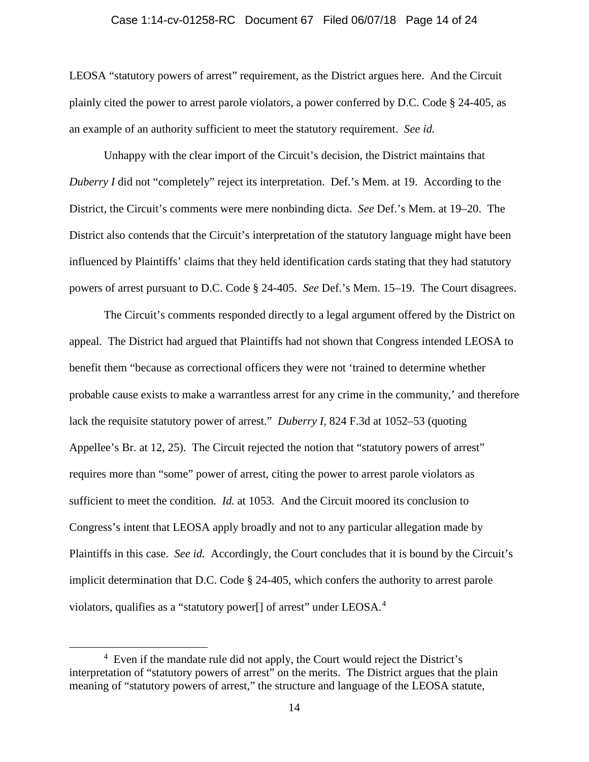#### Case 1:14-cv-01258-RC Document 67 Filed 06/07/18 Page 14 of 24

LEOSA "statutory powers of arrest" requirement, as the District argues here. And the Circuit plainly cited the power to arrest parole violators, a power conferred by D.C. Code § 24-405, as an example of an authority sufficient to meet the statutory requirement. *See id.*

Unhappy with the clear import of the Circuit's decision, the District maintains that *Duberry I* did not "completely" reject its interpretation. Def.'s Mem. at 19. According to the District, the Circuit's comments were mere nonbinding dicta. *See* Def.'s Mem. at 19–20. The District also contends that the Circuit's interpretation of the statutory language might have been influenced by Plaintiffs' claims that they held identification cards stating that they had statutory powers of arrest pursuant to D.C. Code § 24-405. *See* Def.'s Mem. 15–19. The Court disagrees.

The Circuit's comments responded directly to a legal argument offered by the District on appeal. The District had argued that Plaintiffs had not shown that Congress intended LEOSA to benefit them "because as correctional officers they were not 'trained to determine whether probable cause exists to make a warrantless arrest for any crime in the community,' and therefore lack the requisite statutory power of arrest." *Duberry I*, 824 F.3d at 1052–53 (quoting Appellee's Br. at 12, 25). The Circuit rejected the notion that "statutory powers of arrest" requires more than "some" power of arrest, citing the power to arrest parole violators as sufficient to meet the condition. *Id.* at 1053. And the Circuit moored its conclusion to Congress's intent that LEOSA apply broadly and not to any particular allegation made by Plaintiffs in this case. *See id.* Accordingly, the Court concludes that it is bound by the Circuit's implicit determination that D.C. Code § 24-405, which confers the authority to arrest parole violators, qualifies as a "statutory power[] of arrest" under LEOSA.<sup>4</sup>

 $\frac{1}{4}$  $4$  Even if the mandate rule did not apply, the Court would reject the District's interpretation of "statutory powers of arrest" on the merits. The District argues that the plain meaning of "statutory powers of arrest," the structure and language of the LEOSA statute,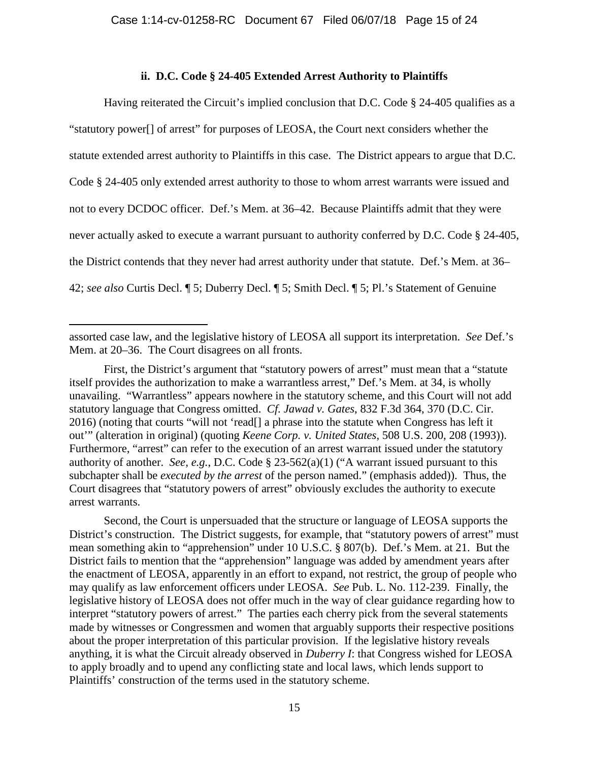### **ii. D.C. Code § 24-405 Extended Arrest Authority to Plaintiffs**

Having reiterated the Circuit's implied conclusion that D.C. Code § 24-405 qualifies as a "statutory power[] of arrest" for purposes of LEOSA, the Court next considers whether the statute extended arrest authority to Plaintiffs in this case. The District appears to argue that D.C. Code § 24-405 only extended arrest authority to those to whom arrest warrants were issued and not to every DCDOC officer. Def.'s Mem. at 36–42. Because Plaintiffs admit that they were never actually asked to execute a warrant pursuant to authority conferred by D.C. Code § 24-405, the District contends that they never had arrest authority under that statute. Def.'s Mem. at 36– 42; *see also* Curtis Decl. ¶ 5; Duberry Decl. ¶ 5; Smith Decl. ¶ 5; Pl.'s Statement of Genuine

 $\overline{a}$ 

assorted case law, and the legislative history of LEOSA all support its interpretation. *See* Def.'s Mem. at 20–36. The Court disagrees on all fronts.

First, the District's argument that "statutory powers of arrest" must mean that a "statute itself provides the authorization to make a warrantless arrest," Def.'s Mem. at 34, is wholly unavailing. "Warrantless" appears nowhere in the statutory scheme, and this Court will not add statutory language that Congress omitted. *Cf. Jawad v. Gates*, 832 F.3d 364, 370 (D.C. Cir. 2016) (noting that courts "will not 'read[] a phrase into the statute when Congress has left it out'" (alteration in original) (quoting *Keene Corp. v. United States*, 508 U.S. 200, 208 (1993)). Furthermore, "arrest" can refer to the execution of an arrest warrant issued under the statutory authority of another. *See, e.g.*, D.C. Code § 23-562(a)(1) ("A warrant issued pursuant to this subchapter shall be *executed by the arrest* of the person named." (emphasis added)). Thus, the Court disagrees that "statutory powers of arrest" obviously excludes the authority to execute arrest warrants.

Second, the Court is unpersuaded that the structure or language of LEOSA supports the District's construction. The District suggests, for example, that "statutory powers of arrest" must mean something akin to "apprehension" under 10 U.S.C. § 807(b). Def.'s Mem. at 21. But the District fails to mention that the "apprehension" language was added by amendment years after the enactment of LEOSA, apparently in an effort to expand, not restrict, the group of people who may qualify as law enforcement officers under LEOSA. *See* Pub. L. No. 112-239. Finally, the legislative history of LEOSA does not offer much in the way of clear guidance regarding how to interpret "statutory powers of arrest." The parties each cherry pick from the several statements made by witnesses or Congressmen and women that arguably supports their respective positions about the proper interpretation of this particular provision. If the legislative history reveals anything, it is what the Circuit already observed in *Duberry I*: that Congress wished for LEOSA to apply broadly and to upend any conflicting state and local laws, which lends support to Plaintiffs' construction of the terms used in the statutory scheme.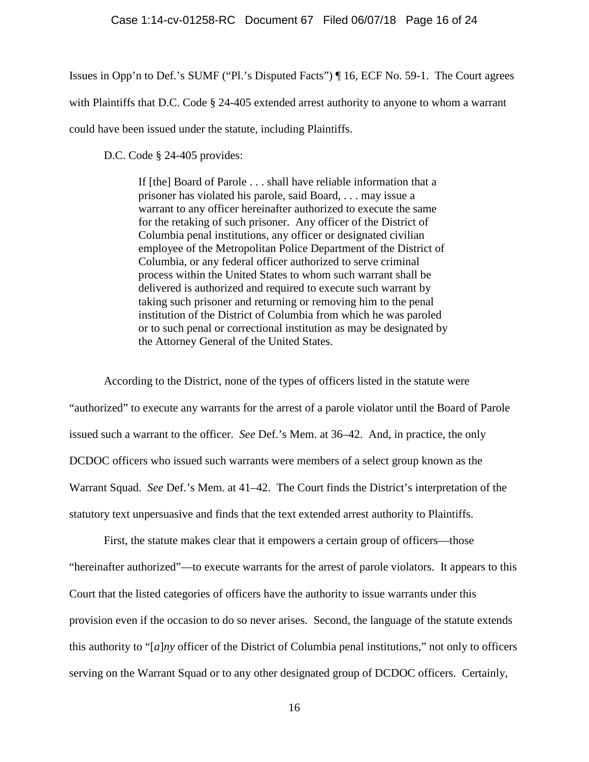Issues in Opp'n to Def.'s SUMF ("Pl.'s Disputed Facts") ¶ 16, ECF No. 59-1. The Court agrees with Plaintiffs that D.C. Code § 24-405 extended arrest authority to anyone to whom a warrant could have been issued under the statute, including Plaintiffs.

D.C. Code § 24-405 provides:

If [the] Board of Parole . . . shall have reliable information that a prisoner has violated his parole, said Board, . . . may issue a warrant to any officer hereinafter authorized to execute the same for the retaking of such prisoner. Any officer of the District of Columbia penal institutions, any officer or designated civilian employee of the Metropolitan Police Department of the District of Columbia, or any federal officer authorized to serve criminal process within the United States to whom such warrant shall be delivered is authorized and required to execute such warrant by taking such prisoner and returning or removing him to the penal institution of the District of Columbia from which he was paroled or to such penal or correctional institution as may be designated by the Attorney General of the United States.

According to the District, none of the types of officers listed in the statute were "authorized" to execute any warrants for the arrest of a parole violator until the Board of Parole issued such a warrant to the officer. *See* Def.'s Mem. at 36–42. And, in practice, the only DCDOC officers who issued such warrants were members of a select group known as the Warrant Squad. *See* Def.'s Mem. at 41–42. The Court finds the District's interpretation of the statutory text unpersuasive and finds that the text extended arrest authority to Plaintiffs.

First, the statute makes clear that it empowers a certain group of officers—those "hereinafter authorized"—to execute warrants for the arrest of parole violators. It appears to this Court that the listed categories of officers have the authority to issue warrants under this provision even if the occasion to do so never arises. Second, the language of the statute extends this authority to "[*a*]*ny* officer of the District of Columbia penal institutions," not only to officers serving on the Warrant Squad or to any other designated group of DCDOC officers. Certainly,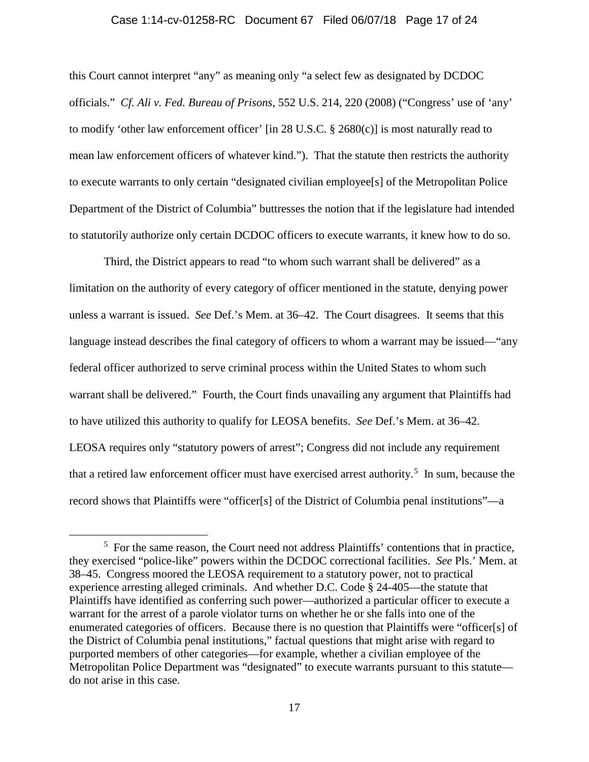#### Case 1:14-cv-01258-RC Document 67 Filed 06/07/18 Page 17 of 24

this Court cannot interpret "any" as meaning only "a select few as designated by DCDOC officials." *Cf. Ali v. Fed. Bureau of Prisons*, 552 U.S. 214, 220 (2008) ("Congress' use of 'any' to modify 'other law enforcement officer' [in 28 U.S.C. § 2680(c)] is most naturally read to mean law enforcement officers of whatever kind."). That the statute then restricts the authority to execute warrants to only certain "designated civilian employee[s] of the Metropolitan Police Department of the District of Columbia" buttresses the notion that if the legislature had intended to statutorily authorize only certain DCDOC officers to execute warrants, it knew how to do so.

Third, the District appears to read "to whom such warrant shall be delivered" as a limitation on the authority of every category of officer mentioned in the statute, denying power unless a warrant is issued. *See* Def.'s Mem. at 36–42. The Court disagrees. It seems that this language instead describes the final category of officers to whom a warrant may be issued—"any federal officer authorized to serve criminal process within the United States to whom such warrant shall be delivered." Fourth, the Court finds unavailing any argument that Plaintiffs had to have utilized this authority to qualify for LEOSA benefits. *See* Def.'s Mem. at 36–42. LEOSA requires only "statutory powers of arrest"; Congress did not include any requirement that a retired law enforcement officer must have exercised arrest authority. 5 In sum, because the record shows that Plaintiffs were "officer[s] of the District of Columbia penal institutions"—a

 $\frac{1}{5}$  $5$  For the same reason, the Court need not address Plaintiffs' contentions that in practice, they exercised "police-like" powers within the DCDOC correctional facilities. *See* Pls.' Mem. at 38–45. Congress moored the LEOSA requirement to a statutory power, not to practical experience arresting alleged criminals. And whether D.C. Code § 24-405—the statute that Plaintiffs have identified as conferring such power—authorized a particular officer to execute a warrant for the arrest of a parole violator turns on whether he or she falls into one of the enumerated categories of officers. Because there is no question that Plaintiffs were "officer[s] of the District of Columbia penal institutions," factual questions that might arise with regard to purported members of other categories—for example, whether a civilian employee of the Metropolitan Police Department was "designated" to execute warrants pursuant to this statute do not arise in this case.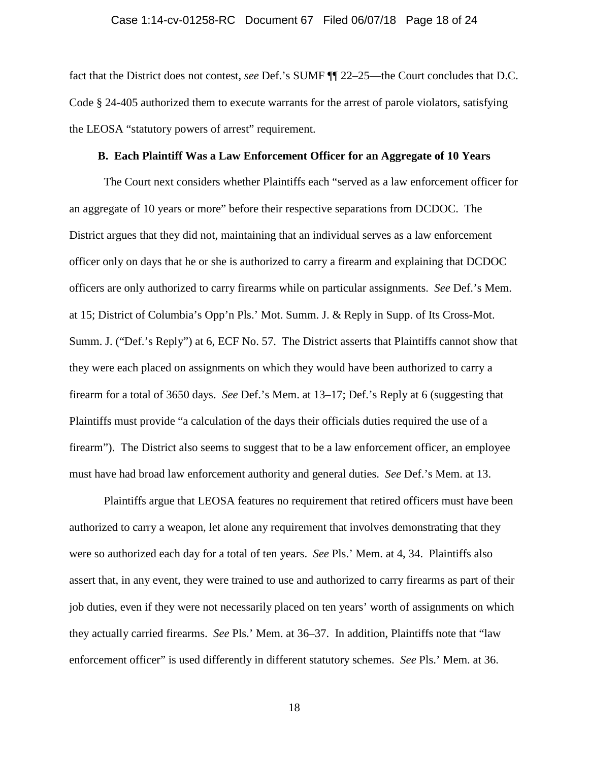#### Case 1:14-cv-01258-RC Document 67 Filed 06/07/18 Page 18 of 24

fact that the District does not contest, *see* Def.'s SUMF ¶¶ 22–25—the Court concludes that D.C. Code § 24-405 authorized them to execute warrants for the arrest of parole violators, satisfying the LEOSA "statutory powers of arrest" requirement.

#### **B. Each Plaintiff Was a Law Enforcement Officer for an Aggregate of 10 Years**

The Court next considers whether Plaintiffs each "served as a law enforcement officer for an aggregate of 10 years or more" before their respective separations from DCDOC. The District argues that they did not, maintaining that an individual serves as a law enforcement officer only on days that he or she is authorized to carry a firearm and explaining that DCDOC officers are only authorized to carry firearms while on particular assignments. *See* Def.'s Mem. at 15; District of Columbia's Opp'n Pls.' Mot. Summ. J. & Reply in Supp. of Its Cross-Mot. Summ. J. ("Def.'s Reply") at 6, ECF No. 57. The District asserts that Plaintiffs cannot show that they were each placed on assignments on which they would have been authorized to carry a firearm for a total of 3650 days. *See* Def.'s Mem. at 13–17; Def.'s Reply at 6 (suggesting that Plaintiffs must provide "a calculation of the days their officials duties required the use of a firearm"). The District also seems to suggest that to be a law enforcement officer, an employee must have had broad law enforcement authority and general duties. *See* Def.'s Mem. at 13.

Plaintiffs argue that LEOSA features no requirement that retired officers must have been authorized to carry a weapon, let alone any requirement that involves demonstrating that they were so authorized each day for a total of ten years. *See* Pls.' Mem. at 4, 34. Plaintiffs also assert that, in any event, they were trained to use and authorized to carry firearms as part of their job duties, even if they were not necessarily placed on ten years' worth of assignments on which they actually carried firearms. *See* Pls.' Mem. at 36–37. In addition, Plaintiffs note that "law enforcement officer" is used differently in different statutory schemes. *See* Pls.' Mem. at 36.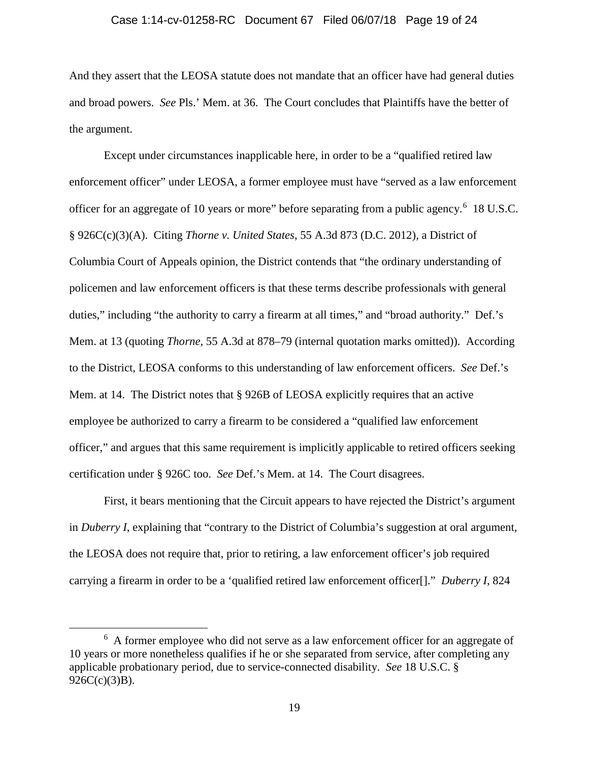## Case 1:14-cv-01258-RC Document 67 Filed 06/07/18 Page 19 of 24

And they assert that the LEOSA statute does not mandate that an officer have had general duties and broad powers. *See* Pls.' Mem. at 36. The Court concludes that Plaintiffs have the better of the argument.

Except under circumstances inapplicable here, in order to be a "qualified retired law enforcement officer" under LEOSA, a former employee must have "served as a law enforcement officer for an aggregate of 10 years or more" before separating from a public agency.<sup>6</sup> 18 U.S.C. § 926C(c)(3)(A). Citing *Thorne v. United States*, 55 A.3d 873 (D.C. 2012), a District of Columbia Court of Appeals opinion, the District contends that "the ordinary understanding of policemen and law enforcement officers is that these terms describe professionals with general duties," including "the authority to carry a firearm at all times," and "broad authority." Def.'s Mem. at 13 (quoting *Thorne*, 55 A.3d at 878–79 (internal quotation marks omitted)). According to the District, LEOSA conforms to this understanding of law enforcement officers. *See* Def.'s Mem. at 14. The District notes that § 926B of LEOSA explicitly requires that an active employee be authorized to carry a firearm to be considered a "qualified law enforcement officer," and argues that this same requirement is implicitly applicable to retired officers seeking certification under § 926C too. *See* Def.'s Mem. at 14. The Court disagrees.

First, it bears mentioning that the Circuit appears to have rejected the District's argument in *Duberry I*, explaining that "contrary to the District of Columbia's suggestion at oral argument, the LEOSA does not require that, prior to retiring, a law enforcement officer's job required carrying a firearm in order to be a 'qualified retired law enforcement officer[]." *Duberry I*, 824

 $\overline{6}$ <sup>6</sup> A former employee who did not serve as a law enforcement officer for an aggregate of 10 years or more nonetheless qualifies if he or she separated from service, after completing any applicable probationary period, due to service-connected disability. *See* 18 U.S.C. §  $926C(c)(3)B$ ).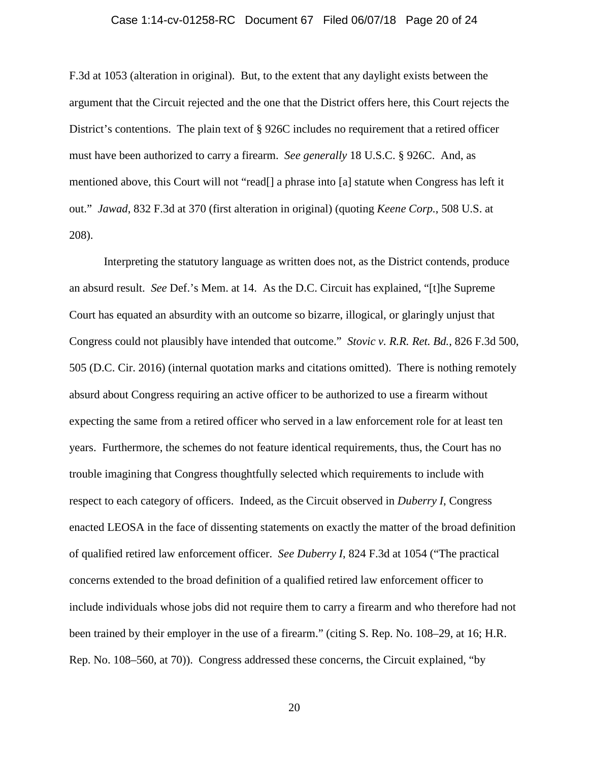## Case 1:14-cv-01258-RC Document 67 Filed 06/07/18 Page 20 of 24

F.3d at 1053 (alteration in original). But, to the extent that any daylight exists between the argument that the Circuit rejected and the one that the District offers here, this Court rejects the District's contentions. The plain text of § 926C includes no requirement that a retired officer must have been authorized to carry a firearm. *See generally* 18 U.S.C. § 926C. And, as mentioned above, this Court will not "read[] a phrase into [a] statute when Congress has left it out." *Jawad*, 832 F.3d at 370 (first alteration in original) (quoting *Keene Corp.*, 508 U.S. at 208).

Interpreting the statutory language as written does not, as the District contends, produce an absurd result. *See* Def.'s Mem. at 14. As the D.C. Circuit has explained, "[t]he Supreme Court has equated an absurdity with an outcome so bizarre, illogical, or glaringly unjust that Congress could not plausibly have intended that outcome." *Stovic v. R.R. Ret. Bd.*, 826 F.3d 500, 505 (D.C. Cir. 2016) (internal quotation marks and citations omitted). There is nothing remotely absurd about Congress requiring an active officer to be authorized to use a firearm without expecting the same from a retired officer who served in a law enforcement role for at least ten years. Furthermore, the schemes do not feature identical requirements, thus, the Court has no trouble imagining that Congress thoughtfully selected which requirements to include with respect to each category of officers. Indeed, as the Circuit observed in *Duberry I*, Congress enacted LEOSA in the face of dissenting statements on exactly the matter of the broad definition of qualified retired law enforcement officer. *See Duberry I*, 824 F.3d at 1054 ("The practical concerns extended to the broad definition of a qualified retired law enforcement officer to include individuals whose jobs did not require them to carry a firearm and who therefore had not been trained by their employer in the use of a firearm." (citing S. Rep. No. 108–29, at 16; H.R. Rep. No. 108–560, at 70)). Congress addressed these concerns, the Circuit explained, "by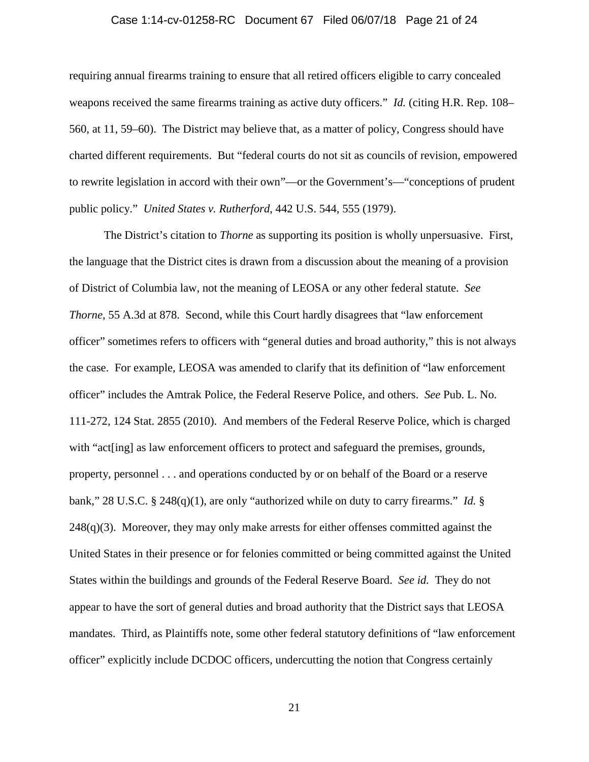#### Case 1:14-cv-01258-RC Document 67 Filed 06/07/18 Page 21 of 24

requiring annual firearms training to ensure that all retired officers eligible to carry concealed weapons received the same firearms training as active duty officers." *Id.* (citing H.R. Rep. 108– 560, at 11, 59–60). The District may believe that, as a matter of policy, Congress should have charted different requirements. But "federal courts do not sit as councils of revision, empowered to rewrite legislation in accord with their own"—or the Government's—"conceptions of prudent public policy." *United States v. Rutherford*, 442 U.S. 544, 555 (1979).

The District's citation to *Thorne* as supporting its position is wholly unpersuasive. First, the language that the District cites is drawn from a discussion about the meaning of a provision of District of Columbia law, not the meaning of LEOSA or any other federal statute. *See Thorne*, 55 A.3d at 878. Second, while this Court hardly disagrees that "law enforcement" officer" sometimes refers to officers with "general duties and broad authority," this is not always the case. For example, LEOSA was amended to clarify that its definition of "law enforcement officer" includes the Amtrak Police, the Federal Reserve Police, and others. *See* Pub. L. No. 111-272, 124 Stat. 2855 (2010). And members of the Federal Reserve Police, which is charged with "act[ing] as law enforcement officers to protect and safeguard the premises, grounds, property, personnel . . . and operations conducted by or on behalf of the Board or a reserve bank," 28 U.S.C. § 248(q)(1), are only "authorized while on duty to carry firearms." *Id.* §  $248(q)(3)$ . Moreover, they may only make arrests for either offenses committed against the United States in their presence or for felonies committed or being committed against the United States within the buildings and grounds of the Federal Reserve Board. *See id.* They do not appear to have the sort of general duties and broad authority that the District says that LEOSA mandates. Third, as Plaintiffs note, some other federal statutory definitions of "law enforcement officer" explicitly include DCDOC officers, undercutting the notion that Congress certainly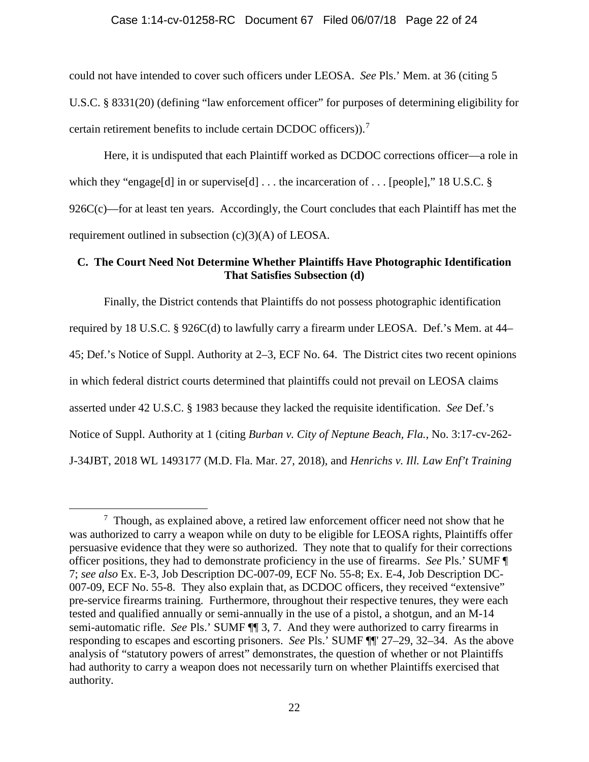# Case 1:14-cv-01258-RC Document 67 Filed 06/07/18 Page 22 of 24

could not have intended to cover such officers under LEOSA. *See* Pls.' Mem. at 36 (citing 5 U.S.C. § 8331(20) (defining "law enforcement officer" for purposes of determining eligibility for certain retirement benefits to include certain DCDOC officers)). 7

Here, it is undisputed that each Plaintiff worked as DCDOC corrections officer—a role in which they "engage[d] in or supervise[d]  $\dots$  the incarceration of  $\dots$  [people]," 18 U.S.C. §  $926C(c)$ —for at least ten years. Accordingly, the Court concludes that each Plaintiff has met the requirement outlined in subsection (c)(3)(A) of LEOSA.

### **C. The Court Need Not Determine Whether Plaintiffs Have Photographic Identification That Satisfies Subsection (d)**

Finally, the District contends that Plaintiffs do not possess photographic identification required by 18 U.S.C. § 926C(d) to lawfully carry a firearm under LEOSA. Def.'s Mem. at 44– 45; Def.'s Notice of Suppl. Authority at 2–3, ECF No. 64. The District cites two recent opinions in which federal district courts determined that plaintiffs could not prevail on LEOSA claims asserted under 42 U.S.C. § 1983 because they lacked the requisite identification. *See* Def.'s Notice of Suppl. Authority at 1 (citing *Burban v. City of Neptune Beach, Fla.*, No. 3:17-cv-262- J-34JBT, 2018 WL 1493177 (M.D. Fla. Mar. 27, 2018), and *Henrichs v. Ill. Law Enf't Training* 

 <sup>7</sup>  $\frac{7}{1}$  Though, as explained above, a retired law enforcement officer need not show that he was authorized to carry a weapon while on duty to be eligible for LEOSA rights, Plaintiffs offer persuasive evidence that they were so authorized. They note that to qualify for their corrections officer positions, they had to demonstrate proficiency in the use of firearms. *See* Pls.' SUMF ¶ 7; *see also* Ex. E-3, Job Description DC-007-09, ECF No. 55-8; Ex. E-4, Job Description DC-007-09, ECF No. 55-8. They also explain that, as DCDOC officers, they received "extensive" pre-service firearms training. Furthermore, throughout their respective tenures, they were each tested and qualified annually or semi-annually in the use of a pistol, a shotgun, and an M-14 semi-automatic rifle. *See* Pls.' SUMF ¶¶ 3, 7. And they were authorized to carry firearms in responding to escapes and escorting prisoners. *See* Pls.' SUMF ¶¶' 27–29, 32–34. As the above analysis of "statutory powers of arrest" demonstrates, the question of whether or not Plaintiffs had authority to carry a weapon does not necessarily turn on whether Plaintiffs exercised that authority.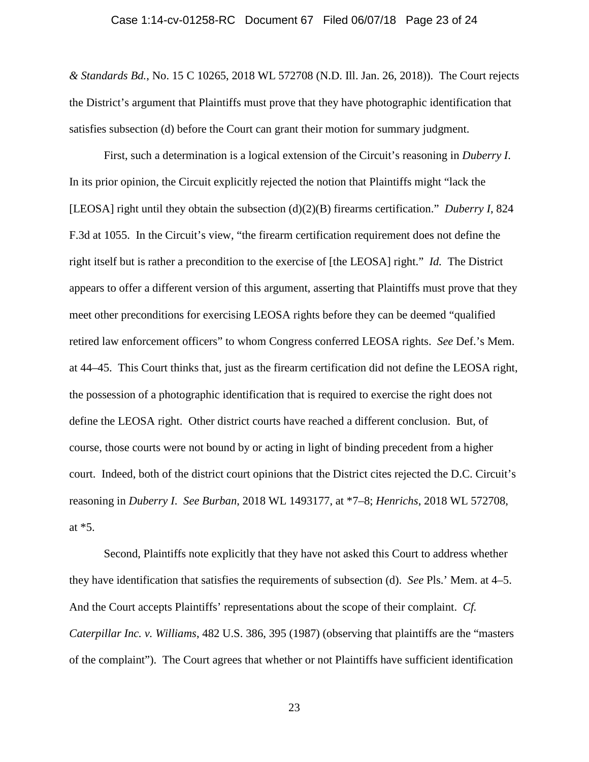#### Case 1:14-cv-01258-RC Document 67 Filed 06/07/18 Page 23 of 24

*& Standards Bd.*, No. 15 C 10265, 2018 WL 572708 (N.D. Ill. Jan. 26, 2018)). The Court rejects the District's argument that Plaintiffs must prove that they have photographic identification that satisfies subsection (d) before the Court can grant their motion for summary judgment.

First, such a determination is a logical extension of the Circuit's reasoning in *Duberry I*. In its prior opinion, the Circuit explicitly rejected the notion that Plaintiffs might "lack the [LEOSA] right until they obtain the subsection (d)(2)(B) firearms certification." *Duberry I*, 824 F.3d at 1055. In the Circuit's view, "the firearm certification requirement does not define the right itself but is rather a precondition to the exercise of [the LEOSA] right." *Id.* The District appears to offer a different version of this argument, asserting that Plaintiffs must prove that they meet other preconditions for exercising LEOSA rights before they can be deemed "qualified retired law enforcement officers" to whom Congress conferred LEOSA rights. *See* Def.'s Mem. at 44–45. This Court thinks that, just as the firearm certification did not define the LEOSA right, the possession of a photographic identification that is required to exercise the right does not define the LEOSA right. Other district courts have reached a different conclusion. But, of course, those courts were not bound by or acting in light of binding precedent from a higher court. Indeed, both of the district court opinions that the District cites rejected the D.C. Circuit's reasoning in *Duberry I*. *See Burban*, 2018 WL 1493177, at \*7–8; *Henrichs*, 2018 WL 572708, at \*5.

 Second, Plaintiffs note explicitly that they have not asked this Court to address whether they have identification that satisfies the requirements of subsection (d). *See* Pls.' Mem. at 4–5. And the Court accepts Plaintiffs' representations about the scope of their complaint. *Cf. Caterpillar Inc. v. Williams*, 482 U.S. 386, 395 (1987) (observing that plaintiffs are the "masters of the complaint"). The Court agrees that whether or not Plaintiffs have sufficient identification